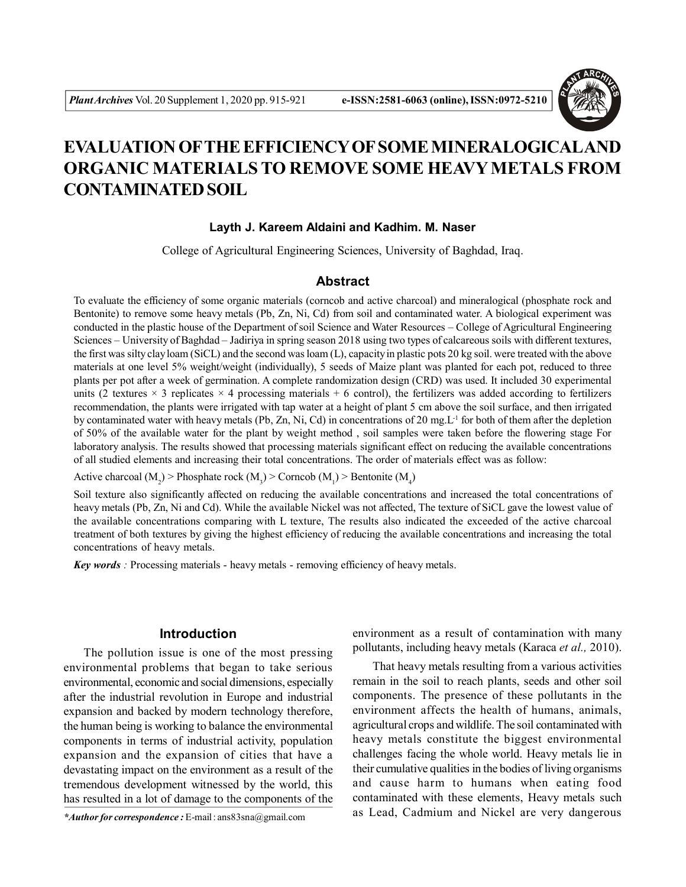

# **EVALUATION OFTHE EFFICIENCY OF SOME MINERALOGICALAND ORGANIC MATERIALS TO REMOVE SOME HEAVY METALS FROM CONTAMINATED SOIL**

# **Layth J. Kareem Aldaini and Kadhim. M. Naser**

College of Agricultural Engineering Sciences, University of Baghdad, Iraq.

## **Abstract**

To evaluate the efficiency of some organic materials (corncob and active charcoal) and mineralogical (phosphate rock and Bentonite) to remove some heavy metals (Pb, Zn, Ni, Cd) from soil and contaminated water. A biological experiment was conducted in the plastic house of the Department of soil Science and Water Resources – College of Agricultural Engineering Sciences – University of Baghdad – Jadiriya in spring season 2018 using two types of calcareous soils with different textures, the first was silty clay loam (SiCL) and the second was loam (L), capacity in plastic pots 20 kg soil. were treated with the above materials at one level 5% weight/weight (individually), 5 seeds of Maize plant was planted for each pot, reduced to three plants per pot after a week of germination. A complete randomization design (CRD) was used. It included 30 experimental units (2 textures  $\times$  3 replicates  $\times$  4 processing materials + 6 control), the fertilizers was added according to fertilizers recommendation, the plants were irrigated with tap water at a height of plant 5 cm above the soil surface, and then irrigated by contaminated water with heavy metals (Pb, Zn, Ni, Cd) in concentrations of 20 mg.  $L<sup>1</sup>$  for both of them after the depletion of 50% of the available water for the plant by weight method , soil samples were taken before the flowering stage For laboratory analysis. The results showed that processing materials significant effect on reducing the available concentrations of all studied elements and increasing their total concentrations. The order of materials effect was as follow:

Active charcoal ( $M_2$ ) > Phosphate rock ( $M_3$ ) > Corncob ( $M_1$ ) > Bentonite ( $M_4$ )

Soil texture also significantly affected on reducing the available concentrations and increased the total concentrations of heavy metals (Pb, Zn, Ni and Cd). While the available Nickel was not affected, The texture of SiCL gave the lowest value of the available concentrations comparing with L texture, The results also indicated the exceeded of the active charcoal treatment of both textures by giving the highest efficiency of reducing the available concentrations and increasing the total concentrations of heavy metals.

*Key words :* Processing materials - heavy metals - removing efficiency of heavy metals.

# **Introduction**

The pollution issue is one of the most pressing environmental problems that began to take serious environmental, economic and social dimensions, especially after the industrial revolution in Europe and industrial expansion and backed by modern technology therefore, the human being is working to balance the environmental components in terms of industrial activity, population expansion and the expansion of cities that have a devastating impact on the environment as a result of the tremendous development witnessed by the world, this has resulted in a lot of damage to the components of the

*\*Author for correspondence :* E-mail : ans83sna@gmail.com

environment as a result of contamination with many pollutants, including heavy metals (Karaca *et al.,* 2010).

That heavy metals resulting from a various activities remain in the soil to reach plants, seeds and other soil components. The presence of these pollutants in the environment affects the health of humans, animals, agricultural crops and wildlife. The soil contaminated with heavy metals constitute the biggest environmental challenges facing the whole world. Heavy metals lie in their cumulative qualities in the bodies of living organisms and cause harm to humans when eating food contaminated with these elements, Heavy metals such as Lead, Cadmium and Nickel are very dangerous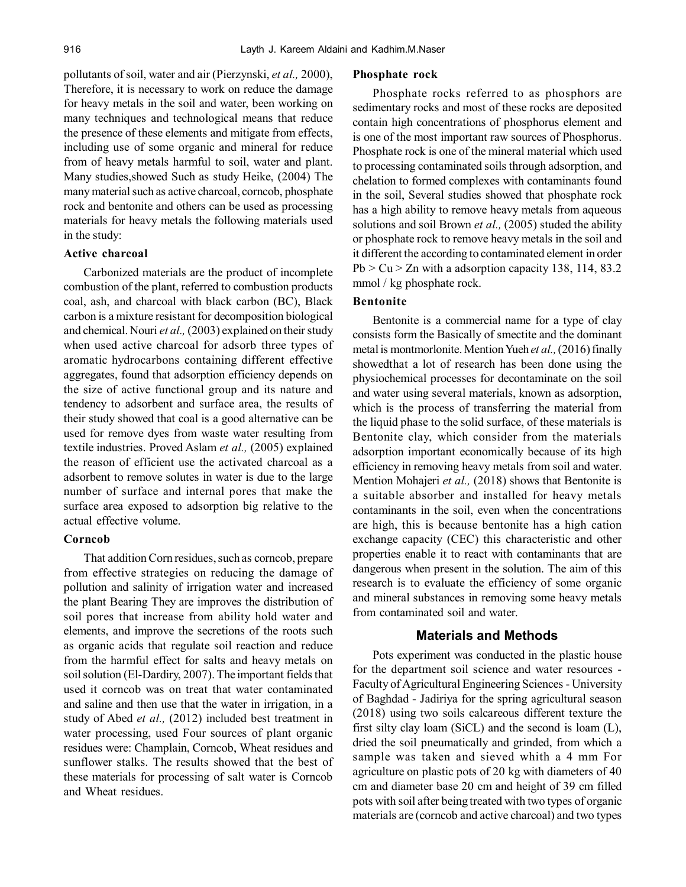pollutants of soil, water and air (Pierzynski, *et al.,* 2000), Therefore, it is necessary to work on reduce the damage for heavy metals in the soil and water, been working on many techniques and technological means that reduce the presence of these elements and mitigate from effects, including use of some organic and mineral for reduce from of heavy metals harmful to soil, water and plant. Many studies,showed Such as study Heike, (2004) The many material such as active charcoal, corncob, phosphate rock and bentonite and others can be used as processing materials for heavy metals the following materials used in the study:

#### **Active charcoal**

Carbonized materials are the product of incomplete combustion of the plant, referred to combustion products coal, ash, and charcoal with black carbon (BC), Black carbon is a mixture resistant for decomposition biological and chemical. Nouri *et al.,* (2003) explained on their study when used active charcoal for adsorb three types of aromatic hydrocarbons containing different effective aggregates, found that adsorption efficiency depends on the size of active functional group and its nature and tendency to adsorbent and surface area, the results of their study showed that coal is a good alternative can be used for remove dyes from waste water resulting from textile industries. Proved Aslam *et al.,* (2005) explained the reason of efficient use the activated charcoal as a adsorbent to remove solutes in water is due to the large number of surface and internal pores that make the surface area exposed to adsorption big relative to the actual effective volume.

### **Corncob**

That addition Corn residues, such as corncob, prepare from effective strategies on reducing the damage of pollution and salinity of irrigation water and increased the plant Bearing They are improves the distribution of soil pores that increase from ability hold water and elements, and improve the secretions of the roots such as organic acids that regulate soil reaction and reduce from the harmful effect for salts and heavy metals on soil solution (El-Dardiry, 2007). The important fields that used it corncob was on treat that water contaminated and saline and then use that the water in irrigation, in a study of Abed *et al.,* (2012) included best treatment in water processing, used Four sources of plant organic residues were: Champlain, Corncob, Wheat residues and sunflower stalks. The results showed that the best of these materials for processing of salt water is Corncob and Wheat residues.

#### **Phosphate rock**

Phosphate rocks referred to as phosphors are sedimentary rocks and most of these rocks are deposited contain high concentrations of phosphorus element and is one of the most important raw sources of Phosphorus. Phosphate rock is one of the mineral material which used to processing contaminated soils through adsorption, and chelation to formed complexes with contaminants found in the soil, Several studies showed that phosphate rock has a high ability to remove heavy metals from aqueous solutions and soil Brown *et al.,* (2005) studed the ability or phosphate rock to remove heavy metals in the soil and it different the according to contaminated element in order  $Pb > Cu > Zn$  with a adsorption capacity 138, 114, 83.2 mmol / kg phosphate rock.

# **Bentonite**

Bentonite is a commercial name for a type of clay consists form the Basically of smectite and the dominant metal is montmorlonite. Mention Yueh *et al.,* (2016) finally showedthat a lot of research has been done using the physiochemical processes for decontaminate on the soil and water using several materials, known as adsorption, which is the process of transferring the material from the liquid phase to the solid surface, of these materials is Bentonite clay, which consider from the materials adsorption important economically because of its high efficiency in removing heavy metals from soil and water. Mention Mohajeri *et al.,* (2018) shows that Bentonite is a suitable absorber and installed for heavy metals contaminants in the soil, even when the concentrations are high, this is because bentonite has a high cation exchange capacity (CEC) this characteristic and other properties enable it to react with contaminants that are dangerous when present in the solution. The aim of this research is to evaluate the efficiency of some organic and mineral substances in removing some heavy metals from contaminated soil and water.

### **Materials and Methods**

Pots experiment was conducted in the plastic house for the department soil science and water resources - Faculty of Agricultural Engineering Sciences - University of Baghdad - Jadiriya for the spring agricultural season (2018) using two soils calcareous different texture the first silty clay loam (SiCL) and the second is loam (L), dried the soil pneumatically and grinded, from which a sample was taken and sieved whith a 4 mm For agriculture on plastic pots of 20 kg with diameters of 40 cm and diameter base 20 cm and height of 39 cm filled pots with soil after being treated with two types of organic materials are (corncob and active charcoal) and two types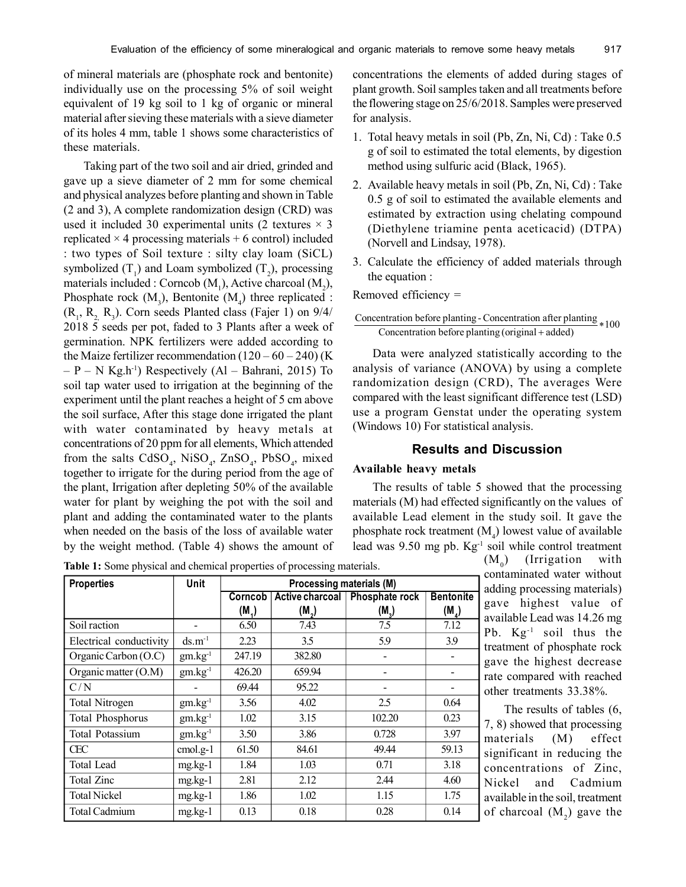of mineral materials are (phosphate rock and bentonite) individually use on the processing 5% of soil weight equivalent of 19 kg soil to 1 kg of organic or mineral material after sieving these materials with a sieve diameter of its holes 4 mm, table 1 shows some characteristics of these materials.

Taking part of the two soil and air dried, grinded and gave up a sieve diameter of 2 mm for some chemical and physical analyzes before planting and shown in Table (2 and 3), A complete randomization design (CRD) was used it included 30 experimental units (2 textures  $\times$  3 replicated  $\times$  4 processing materials + 6 control) included : two types of Soil texture : silty clay loam (SiCL) symbolized  $(T_1)$  and Loam symbolized  $(T_2)$ , processing materials included : Corncob  $(M_1)$ , Active charcoal  $(M_2)$ , Phosphate rock  $(M_3)$ , Bentonite  $(M_4)$  three replicated :  $(R_1, R_2, R_3)$ . Corn seeds Planted class (Fajer 1) on 9/4/ 2018 5 seeds per pot, faded to 3 Plants after a week of germination. NPK fertilizers were added according to the Maize fertilizer recommendation  $(120 – 60 – 240)$  (K)  $- P - N$  Kg,h<sup>-1</sup>) Respectively (Al – Bahrani, 2015) To soil tap water used to irrigation at the beginning of the experiment until the plant reaches a height of 5 cm above the soil surface, After this stage done irrigated the plant with water contaminated by heavy metals at concentrations of 20 ppm for all elements, Which attended from the salts  $C dSO_4$ , NiSO<sub>4</sub>, ZnSO<sub>4</sub>, PbSO<sub>4</sub>, mixed together to irrigate for the during period from the age of the plant, Irrigation after depleting 50% of the available water for plant by weighing the pot with the soil and plant and adding the contaminated water to the plants when needed on the basis of the loss of available water by the weight method. (Table 4) shows the amount of concentrations the elements of added during stages of plant growth. Soil samples taken and all treatments before the flowering stage on 25/6/2018. Samples were preserved for analysis.

- 1. Total heavy metals in soil (Pb, Zn, Ni, Cd) : Take 0.5 g of soil to estimated the total elements, by digestion method using sulfuric acid (Black, 1965).
- 2. Available heavy metals in soil (Pb, Zn, Ni, Cd) : Take 0.5 g of soil to estimated the available elements and estimated by extraction using chelating compound (Diethylene triamine penta aceticacid) (DTPA) (Norvell and Lindsay, 1978).
- 3. Calculate the efficiency of added materials through the equation :

Removed efficiency =

 $\frac{1}{100}$ Concentration before planting - Concentration after planting  $*100$ Concentration before planting (original + added)

Data were analyzed statistically according to the analysis of variance (ANOVA) by using a complete randomization design (CRD), The averages Were compared with the least significant difference test (LSD) use a program Genstat under the operating system (Windows 10) For statistical analysis.

# **Results and Discussion**

### **Available heavy metals**

The results of table 5 showed that the processing materials (M) had effected significantly on the values of available Lead element in the study soil. It gave the phosphate rock treatment  $(M_4)$  lowest value of available lead was 9.50 mg pb. Kg-1 soil while control treatment

**Properties a Processing materials (M) Corncob** | Active charcoal | Phosphate rock | Bentonite  $\frac{(M_1)}{6.50}$  $(M<sub>2</sub>)$  $\frac{(M_3)}{7.5}$ **)**  $(M_4)$ Soil raction - 6.50 7.43 7.5 7.12 Electrical conductivity  $ds.m^{-1}$  2.23  $\vert$  3.5  $\vert$  5.9  $\vert$  3.9 Organic Carbon  $(O.C)$  | gm.kg<sup>-1</sup> | 247.19 | 382.80 | - | -Organic matter  $(O.M)$  gm.kg<sup>-1</sup> 426.20 659.94 - - $C/N$  - 69.44 95.22 - -Total Nitrogen | gm.kg<sup>-1</sup> | 3.56 | 4.02 | 2.5 | 0.64 Total Phosphorus  $\begin{array}{|l|c|c|c|c|c|c|c|c|} \hline \end{array}$  gm.kg<sup>-1</sup> 1.02  $\begin{array}{|l|c|c|c|c|} \hline \end{array}$  3.15 102.20  $\begin{array}{|l|c|c|c|c|} \hline \end{array}$  0.23 Total Potassium gm.kg<sup>-1</sup> 3.50 3.86 0.728 3.97 CEC | cmol.g-1 | 61.50 | 84.61 | 49.44 | 59.13 Total Lead | mg.kg-1 | 1.84 | 1.03 | 0.71 | 3.18 Total Zinc  $mg.kg-1$  2.81 2.12 2.44 4.60 Total Nickel | mg.kg-1 | 1.86 | 1.02 | 1.15 | 1.75 Total Cadmium | mg.kg-1 | 0.13 | 0.18 | 0.28 | 0.14

**Table 1:** Some physical and chemical properties of processing materials.

 $(M_0)$ ) (Irrigation with contaminated water without adding processing materials) gave highest value of available Lead was 14.26 mg Pb. Kg<sup>-1</sup> soil thus the treatment of phosphate rock gave the highest decrease rate compared with reached other treatments 33.38%.

The results of tables (6, 7, 8) showed that processing materials (M) effect significant in reducing the concentrations of Zinc, Nickel and Cadmium available in the soil, treatment of charcoal  $(M_2)$  gave the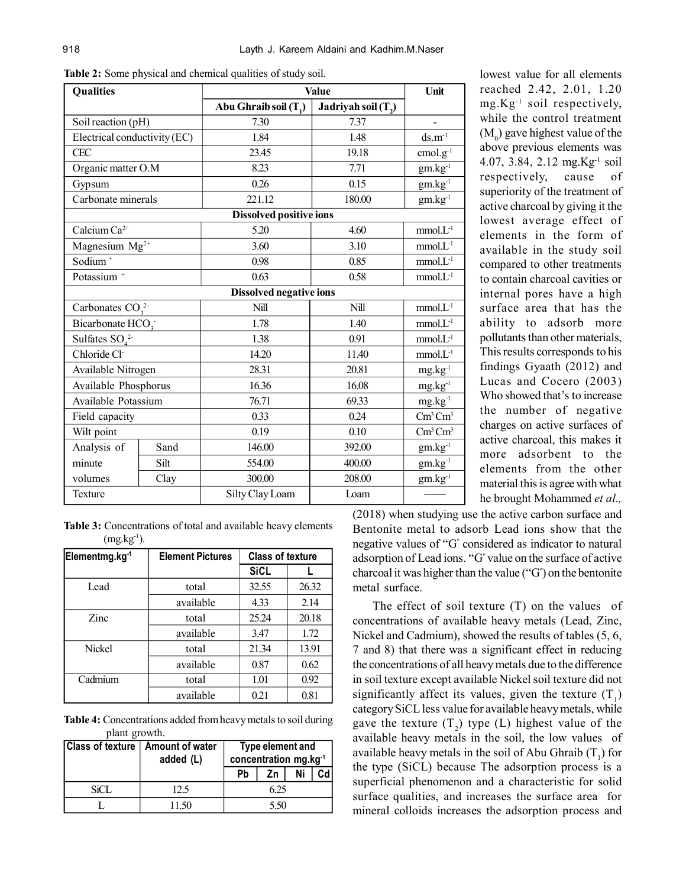| <b>Qualities</b>             |      |                                   | <b>Value</b>                      |                           |  |  |
|------------------------------|------|-----------------------------------|-----------------------------------|---------------------------|--|--|
|                              |      | Abu Ghraib soil (T <sub>1</sub> ) | Jadriyah soil $(T, )$             |                           |  |  |
| Soil reaction (pH)           |      | 7.30                              | 7.37                              |                           |  |  |
| Electrical conductivity (EC) |      | 1.84                              | 1.48                              | $ds.m^{-1}$               |  |  |
| <b>CEC</b>                   |      | 23.45                             | 19.18                             | $cmol.g-1$                |  |  |
| Organic matter O.M           |      | 8.23                              | 7.71                              | $gm.kg^{\text{-}1}$       |  |  |
| Gypsum                       |      | 0.26                              | 0.15                              | $gm.kg-1$                 |  |  |
| Carbonate minerals           |      | 221.12                            | 180.00                            | $gm.kg-1$                 |  |  |
|                              |      | <b>Dissolved positive ions</b>    |                                   |                           |  |  |
| Calcium Ca <sup>2+</sup>     |      | 5.20                              | 4.60                              | $mmol.L-1$                |  |  |
| Magnesium $Mg^{2+}$          |      | 3.60                              | 3.10                              | $mmol.L-1$                |  |  |
| Sodium <sup>+</sup>          |      | 0.98                              | 0.85                              | $mmol.L-1$                |  |  |
| Potassium <sup>+</sup>       |      | 0.63                              | 0.58                              | $mmol.L-1$                |  |  |
|                              |      | <b>Dissolved negative ions</b>    |                                   |                           |  |  |
| Carbonates $CO_3^2$          |      | Nill                              | Nill                              | $mmol.L-1$                |  |  |
| Bicarbonate HCO <sub>3</sub> |      | 1.78                              | 1.40                              | $mmol.L-1$                |  |  |
| Sulfates $SO_4^2$            |      | 1.38                              | 0.91                              | $mmol.L-1$                |  |  |
| Chloride Cl-                 |      | 14.20                             | 11.40                             | $mmol.L-1$                |  |  |
| Available Nitrogen           |      | 28.31                             | 20.81                             | $mg.kg^{-1}$              |  |  |
| Available Phosphorus         |      | 16.36                             | 16.08                             | $mg.kg^{-1}$              |  |  |
| Available Potassium          |      | 76.71                             | 69.33                             | $mg.kg^{-1}$              |  |  |
| Field capacity               |      | 0.33                              | 0.24                              | $\text{Cm}^3 \text{Cm}^3$ |  |  |
| Wilt point                   |      | 0.19                              | $\text{Cm}^3 \text{Cm}^3$<br>0.10 |                           |  |  |
| Analysis of                  | Sand | 146.00<br>392.00                  |                                   | $gm.kg^{-1}$              |  |  |
| minute                       | Silt | 554.00                            | 400.00                            | $gm.kg-1$                 |  |  |
| volumes                      | Clay | 300.00<br>208.00                  |                                   | $gm.kg-1$                 |  |  |
| Texture                      |      | Silty Clay Loam                   | Loam                              |                           |  |  |

**Table 2:** Some physical and chemical qualities of study soil.

| <b>Table 3:</b> Concentrations of total and available heavy elements |  |  |
|----------------------------------------------------------------------|--|--|
| $(mg.kg^{-1})$ .                                                     |  |  |

| Elementmg.kg <sup>-1</sup> | <b>Element Pictures</b> | <b>Class of texture</b> |       |  |  |
|----------------------------|-------------------------|-------------------------|-------|--|--|
|                            |                         | <b>SiCL</b>             |       |  |  |
| Lead                       | total                   | 32.55                   | 26.32 |  |  |
|                            | available               | 4.33                    | 2.14  |  |  |
| Zinc                       | total                   | 25.24                   | 20.18 |  |  |
|                            | available               | 3.47                    | 1.72  |  |  |
| <b>Nickel</b>              | total                   | 21.34                   | 13.91 |  |  |
|                            | available               | 0.87                    | 0.62  |  |  |
| Cadmium                    | total                   | 1.01                    | 0.92  |  |  |
|                            | available               | 0.21                    | 0.81  |  |  |

**Table 4:** Concentrations added from heavy metals to soil during plant growth.

| <b>Class of texture</b> | Amount of water<br>added (L) | Type element and<br>concentration mg.kg <sup>-1</sup> |     |  |  |
|-------------------------|------------------------------|-------------------------------------------------------|-----|--|--|
|                         |                              | Pb                                                    | Ζn  |  |  |
| SiCL <sub>3</sub>       | 12.5                         |                                                       | 625 |  |  |
|                         | 11.50                        | 5.50                                                  |     |  |  |

lowest value for all elements reached 2.42, 2.01, 1.20 mg.Kg-1 soil respectively, while the control treatment  $(M_0)$  gave highest value of the above previous elements was 4.07, 3.84, 2.12 mg.Kg-1 soil respectively, cause of superiority of the treatment of active charcoal by giving it the lowest average effect of elements in the form of available in the study soil compared to other treatments to contain charcoal cavities or internal pores have a high surface area that has the ability to adsorb more pollutants than other materials, This results corresponds to his findings Gyaath (2012) and Lucas and Cocero (2003) Who showed that's to increase the number of negative charges on active surfaces of active charcoal, this makes it more adsorbent to the elements from the other material this is agree with what he brought Mohammed *et al.,*

(2018) when studying use the active carbon surface and Bentonite metal to adsorb Lead ions show that the negative values of "G<sup>º</sup> considered as indicator to natural adsorption of Lead ions. "G<sup>º</sup> value on the surface of active charcoal it was higher than the value ("G<sup>º</sup> ) on the bentonite metal surface.

The effect of soil texture (T) on the values of concentrations of available heavy metals (Lead, Zinc, Nickel and Cadmium), showed the results of tables (5, 6, 7 and 8) that there was a significant effect in reducing the concentrations of all heavy metals due to the difference in soil texture except available Nickel soil texture did not significantly affect its values, given the texture  $(T_1)$ category SiCL less value for available heavy metals, while gave the texture  $(T_2)$  type (L) highest value of the available heavy metals in the soil, the low values of available heavy metals in the soil of Abu Ghraib  $(T_1)$  for the type (SiCL) because The adsorption process is a superficial phenomenon and a characteristic for solid surface qualities, and increases the surface area for mineral colloids increases the adsorption process and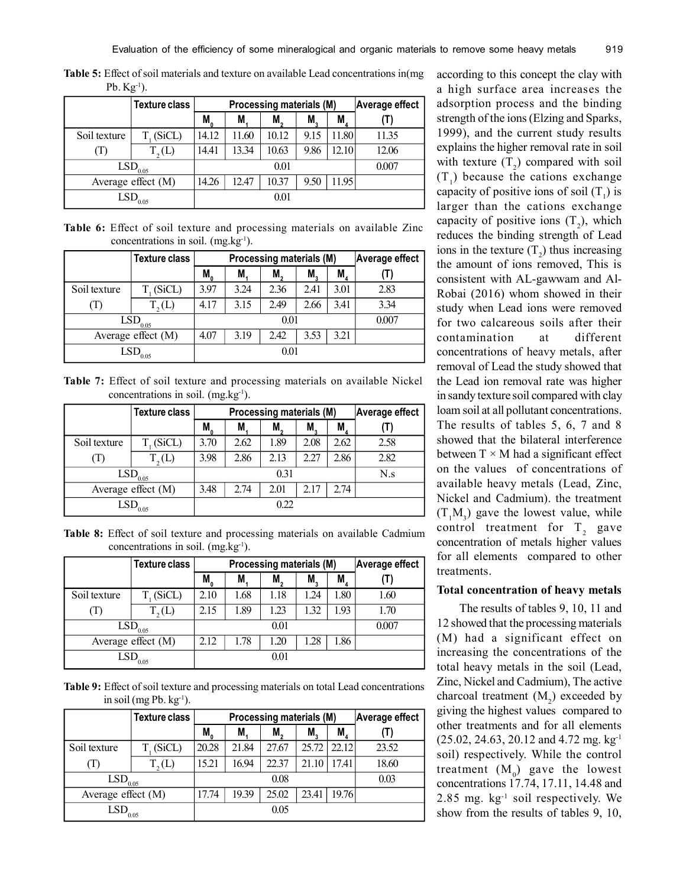|              | $10.117$ , $1.00$     |                                          |                          |                |      |       |       |  |  |
|--------------|-----------------------|------------------------------------------|--------------------------|----------------|------|-------|-------|--|--|
|              | <b>Texture class</b>  |                                          | Processing materials (M) | Average effect |      |       |       |  |  |
|              |                       | $M_{0}$                                  | M                        | M,             | M,   | M.    |       |  |  |
| Soil texture | T <sub>1</sub> (SiCL) | 14.12                                    | 11.60                    | 10.12          | 9.15 | 11.80 | 11.35 |  |  |
| (1)          | T, (L)                | 14.41                                    | 13.34                    | 10.63          | 9.86 | 12.10 | 12.06 |  |  |
|              | LSD <sub>0.05</sub>   | 0.01                                     |                          |                |      | 0.007 |       |  |  |
|              | Average effect (M)    | 11.95<br>9.50<br>10.37<br>14.26<br>12.47 |                          |                |      |       |       |  |  |
|              | $LSD$ <sub>0.05</sub> |                                          |                          | 0.01           |      |       |       |  |  |

**Table 5:** Effect of soil materials and texture on available Lead concentrations in(mg Ph.  $K_{\alpha^{-1}}$ .

**Table 6:** Effect of soil texture and processing materials on available Zinc concentrations in soil.  $(mg.kg^{-1})$ .

|              | <b>Texture class</b>  |                                      | Processing materials (M) |       | Average effect |             |      |
|--------------|-----------------------|--------------------------------------|--------------------------|-------|----------------|-------------|------|
|              |                       | M <sub>0</sub>                       | M.                       | M.    | M.             | $M_{\rm A}$ |      |
| Soil texture | $T_{1}$ (SiCL)        | 3.97                                 | 3.24                     | 2.36  | 2.41           | 3.01        | 2.83 |
| <b>T</b>     | T, (L)                | 4.17                                 | 3.15                     | 2.49  | 2.66           | 3.41        | 3.34 |
|              | $LSD$ <sub>0.05</sub> |                                      |                          | 0.007 |                |             |      |
|              | Average effect (M)    | 3.53<br>3.21<br>4.07<br>3.19<br>2.42 |                          |       |                |             |      |
|              | $\mathrm{LSD}_{0.05}$ |                                      |                          | 0.01  |                |             |      |

**Table 7:** Effect of soil texture and processing materials on available Nickel concentrations in soil.  $(mg.kg^{-1})$ .

|                     | <b>Texture class</b>  |                                      | Processing materials (M) |      | Average effect |      |      |
|---------------------|-----------------------|--------------------------------------|--------------------------|------|----------------|------|------|
|                     |                       | $M_{\alpha}$                         | M                        | M.   | M.             | M    |      |
| Soil texture        | T <sub>1</sub> (SiCL) | 3.70                                 | 2.62                     | 1.89 | 2.08           | 2.62 | 2.58 |
| (I)                 | T, (L)                | 3.98                                 | 2.86                     | 2.13 | 2.27           | 2.86 | 2.82 |
| $\text{LSD}_{0.05}$ |                       | 0.31                                 |                          |      |                |      | N.s  |
|                     | Average effect (M)    | 2.17<br>2.74<br>3.48<br>2.74<br>2.01 |                          |      |                |      |      |
| LSD<br>0.05         |                       | 0.22                                 |                          |      |                |      |      |

**Table 8:** Effect of soil texture and processing materials on available Cadmium concentrations in soil.  $(mg/kg^{-1})$ .

|                       | <b>Texture class</b> |            | Processing materials (M) |      | Average effect |      |       |
|-----------------------|----------------------|------------|--------------------------|------|----------------|------|-------|
|                       |                      | $M_{_{0}}$ | M.                       | M,   | M.             | M,   |       |
| Soil texture          | $T_{1}$ (SiCL)       | 2.10       | 1.68                     | 1.18 | 1.24           | 1.80 | 1.60  |
| (1)                   | T, (L)               | 2.15       | 1.89                     | 1.23 | 1.32           | 1.93 | 1.70  |
| $LSD$ <sub>0.05</sub> |                      | 0.01       |                          |      |                |      | 0.007 |
|                       | Average effect (M)   | 2.12       | 1.78                     | 1.20 | 1.28           | 1.86 |       |
| 0.05                  |                      |            |                          | 0.01 |                |      |       |

**Table 9:** Effect of soil texture and processing materials on total Lead concentrations in soil (mg Pb.  $kg^{-1}$ ).

|                       | <b>Texture class</b> |                                  | Processing materials (M) |       | Average effect |             |       |
|-----------------------|----------------------|----------------------------------|--------------------------|-------|----------------|-------------|-------|
|                       |                      | $M_{_{0}}$                       | Μ                        | M,    | M.             | $M_{\rm A}$ |       |
| Soil texture          | $T_{1}$ (SiCL)       | 20.28                            | 21.84                    | 27.67 | 25.72          | 22.12       | 23.52 |
| (1)                   | $T_{\alpha}(L)$      | 15.21                            | 16.94                    | 22.37 | 21.10          | 17.41       | 18.60 |
| LSD <sub>0.05</sub>   |                      |                                  |                          | 0.08  |                |             | 0.03  |
| Average effect (M)    |                      | 19.39<br>23.41<br>25.02<br>17.74 |                          |       | 19.76          |             |       |
| $\mathrm{LSD}_{0.05}$ |                      |                                  |                          | 0.05  |                |             |       |

according to this concept the clay with a high surface area increases the adsorption process and the binding strength of the ions (Elzing and Sparks, 1999), and the current study results explains the higher removal rate in soil with texture  $(T_2)$  compared with soil  $(T_1)$  because the cations exchange capacity of positive ions of soil  $(T_1)$  is larger than the cations exchange capacity of positive ions  $(T_2)$ , which reduces the binding strength of Lead ions in the texture  $(T_2)$  thus increasing the amount of ions removed, This is consistent with AL-gawwam and Al-Robai (2016) whom showed in their study when Lead ions were removed for two calcareous soils after their contamination at different concentrations of heavy metals, after removal of Lead the study showed that the Lead ion removal rate was higher in sandy texture soil compared with clay loam soil at all pollutant concentrations. The results of tables 5, 6, 7 and 8 showed that the bilateral interference between  $T \times M$  had a significant effect on the values of concentrations of available heavy metals (Lead, Zinc, Nickel and Cadmium). the treatment  $(T_1M_3)$  gave the lowest value, while control treatment for  $T_2$  gave concentration of metals higher values for all elements compared to other treatments.

#### **Total concentration of heavy metals**

 The results of tables 9, 10, 11 and 12 showed that the processing materials (M) had a significant effect on increasing the concentrations of the total heavy metals in the soil (Lead, Zinc, Nickel and Cadmium), The active charcoal treatment  $(M_2)$  exceeded by giving the highest values compared to other treatments and for all elements  $(25.02, 24.63, 20.12, and 4.72, mg. kg<sup>-1</sup>)$ soil) respectively. While the control treatment  $(M_0)$  gave the lowest concentrations 17.74, 17.11, 14.48 and 2.85 mg. kg-1 soil respectively. We show from the results of tables 9, 10,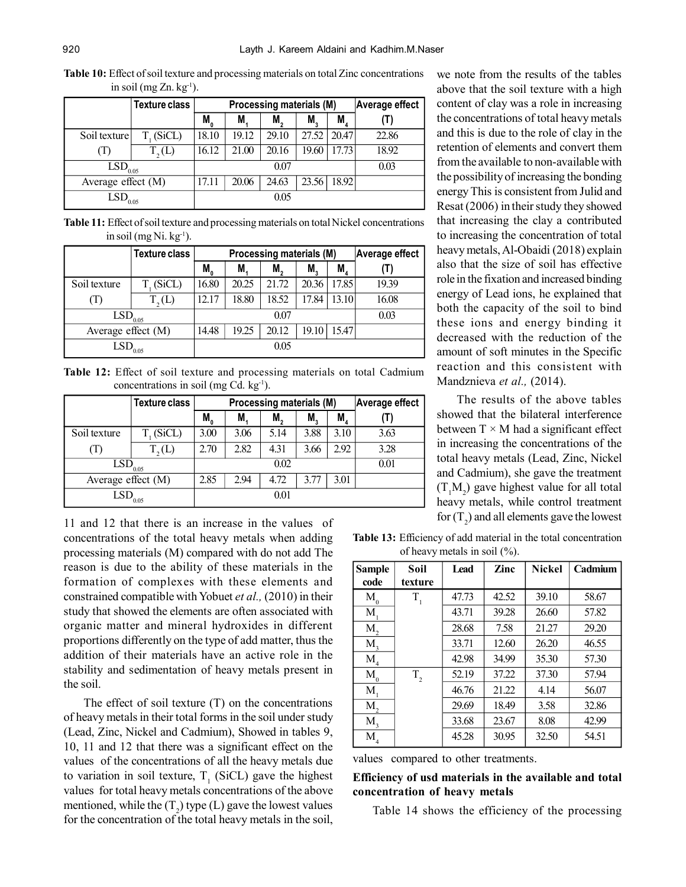**Table 10:** Effect of soil texture and processing materials on total Zinc concentrations in soil (mg Zn.  $kg^{-1}$ ).

|                         | <b>Texture class</b>  |                                           | Processing materials (M) |       | Average effect |             |       |
|-------------------------|-----------------------|-------------------------------------------|--------------------------|-------|----------------|-------------|-------|
|                         |                       | $M_{_{0}}$                                | M.                       | M.    | M.             | $M_{\rm A}$ |       |
| Soil texture            | T <sub>1</sub> (SiCL) | 18.10                                     | 19.12                    | 29.10 | 27.52          | 20.47       | 22.86 |
| (1)                     | T, (L)                | 16.12                                     | 21.00                    | 20.16 | 19.60          | 17.73       | 18.92 |
| $L\overline{SD}_{0.05}$ |                       |                                           |                          | 0.07  |                |             | 0.03  |
| Average effect (M)      |                       | 18.92<br>20.06<br>23.56<br>24.63<br>17.11 |                          |       |                |             |       |
| LSD.                    | 0.05                  |                                           |                          | 0.05  |                |             |       |

**Table 11:** Effect of soil texture and processing materials on total Nickel concentrations in soil (mg Ni,  $kg^{-1}$ ).

|                    | <b>Texture class</b> |                                  | Processing materials (M) |       | Average effect |             |       |
|--------------------|----------------------|----------------------------------|--------------------------|-------|----------------|-------------|-------|
|                    |                      | M <sub>0</sub>                   | M,                       | М,    | M,             | $M_{\rm A}$ |       |
| Soil texture       | $T_{1}$ (SiCL)       | 16.80                            | 20.25                    | 21.72 | 20.36          | 17.85       | 19.39 |
| (1)                | T, (L)               | 12.17                            | 18.80                    | 18.52 | 17.84          | 13.10       | 16.08 |
| LSD,               | 0.05                 | 0.07                             |                          |       |                |             | 0.03  |
| Average effect (M) |                      | 19.25<br>19.10<br>14.48<br>20.12 |                          |       | 15.47          |             |       |
| LSD                | 0.05                 |                                  |                          | 0.05  |                |             |       |

**Table 12:** Effect of soil texture and processing materials on total Cadmium concentrations in soil (mg Cd.  $kg^{-1}$ ).

|                       | <b>Texture class</b> |                                      | Processing materials (M) |      | Average effect |      |      |
|-----------------------|----------------------|--------------------------------------|--------------------------|------|----------------|------|------|
|                       |                      | M,                                   | M,                       | M,   | M,             | M,   |      |
| Soil texture          | $T_{1}$ (SiCL)       | 3.00                                 | 3.06                     | 5.14 | 3.88           | 3.10 | 3.63 |
| (1)                   | T, (L)               | 2.70                                 | 2.82                     | 4.31 | 3.66           | 2.92 | 3.28 |
| $\mathrm{LSD}_{0.05}$ |                      |                                      |                          |      |                | 0.01 |      |
| Average effect (M)    |                      | 4.72<br>3.77<br>2.85<br>3.01<br>2.94 |                          |      |                |      |      |
| $\mathrm{LSD}_{0.05}$ |                      |                                      |                          | 0.01 |                |      |      |

11 and 12 that there is an increase in the values of concentrations of the total heavy metals when adding processing materials (M) compared with do not add The reason is due to the ability of these materials in the formation of complexes with these elements and constrained compatible with Yobuet *et al.,* (2010) in their study that showed the elements are often associated with organic matter and mineral hydroxides in different proportions differently on the type of add matter, thus the addition of their materials have an active role in the stability and sedimentation of heavy metals present in the soil.

The effect of soil texture  $(T)$  on the concentrations of heavy metals in their total forms in the soil under study (Lead, Zinc, Nickel and Cadmium), Showed in tables 9, 10, 11 and 12 that there was a significant effect on the values of the concentrations of all the heavy metals due to variation in soil texture,  $T_1$  (SiCL) gave the highest values for total heavy metals concentrations of the above mentioned, while the  $(T_2)$  type (L) gave the lowest values for the concentration of the total heavy metals in the soil, we note from the results of the tables above that the soil texture with a high content of clay was a role in increasing the concentrations of total heavy metals and this is due to the role of clay in the retention of elements and convert them from the available to non-available with the possibility of increasing the bonding energy This is consistent from Julid and Resat (2006) in their study they showed that increasing the clay a contributed to increasing the concentration of total heavy metals, Al-Obaidi (2018) explain also that the size of soil has effective role in the fixation and increased binding energy of Lead ions, he explained that both the capacity of the soil to bind these ions and energy binding it decreased with the reduction of the amount of soft minutes in the Specific reaction and this consistent with Mandznieva *et al.,* (2014).

The results of the above tables showed that the bilateral interference between  $T \times M$  had a significant effect in increasing the concentrations of the total heavy metals (Lead, Zinc, Nickel and Cadmium), she gave the treatment  $(T_1M_2)$  gave highest value for all total heavy metals, while control treatment for  $(T_2)$  and all elements gave the lowest

**Table 13:** Efficiency of add material in the total concentration of heavy metals in soil (%).

| <b>Sample</b>   | Soil    | <b>Lead</b> | Zinc  | <b>Nickel</b> | Cadmium |
|-----------------|---------|-------------|-------|---------------|---------|
| code            | texture |             |       |               |         |
| $M_{0}$         | $T_{1}$ | 47.73       | 42.52 | 39.10         | 58.67   |
| M,              |         | 43.71       | 39.28 | 26.60         | 57.82   |
| M,              |         | 28.68       | 7.58  | 21.27         | 29.20   |
| $M_{\rm \star}$ |         | 33.71       | 12.60 | 26.20         | 46.55   |
| $M_{\rm _4}$    |         | 42.98       | 34.99 | 35.30         | 57.30   |
| $M_{0}$         | $T_{2}$ | 52.19       | 37.22 | 37.30         | 57.94   |
| $M_{1}$         |         | 46.76       | 21.22 | 4.14          | 56.07   |
| Μ,              |         | 29.69       | 18.49 | 3.58          | 32.86   |
| $M_{\tiny 3}$   |         | 33.68       | 23.67 | 8.08          | 42.99   |
| $\rm M_{_4}$    |         | 45.28       | 30.95 | 32.50         | 54.51   |

values compared to other treatments.

**Efficiency of usd materials in the available and total concentration of heavy metals**

Table 14 shows the efficiency of the processing